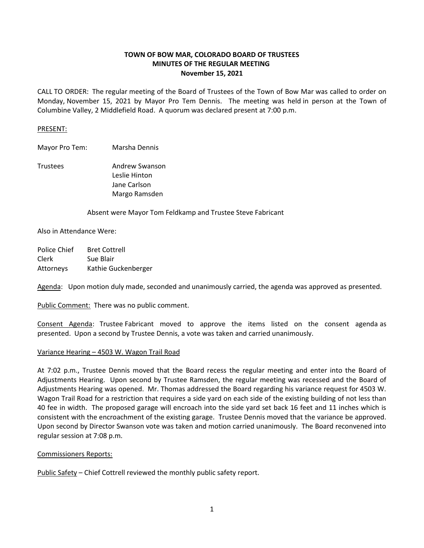# **TOWN OF BOW MAR, COLORADO BOARD OF TRUSTEES MINUTES OF THE REGULAR MEETING November 15, 2021**

CALL TO ORDER: The regular meeting of the Board of Trustees of the Town of Bow Mar was called to order on Monday, November 15, 2021 by Mayor Pro Tem Dennis. The meeting was held in person at the Town of Columbine Valley, 2 Middlefield Road. A quorum was declared present at 7:00 p.m.

## PRESENT:

Mayor Pro Tem: Marsha Dennis

Trustees Andrew Swanson Leslie Hinton Jane Carlson Margo Ramsden

Absent were Mayor Tom Feldkamp and Trustee Steve Fabricant

Also in Attendance Were:

Police Chief Bret Cottrell Clerk Sue Blair Attorneys Kathie Guckenberger

Agenda: Upon motion duly made, seconded and unanimously carried, the agenda was approved as presented.

Public Comment: There was no public comment.

Consent Agenda: Trustee Fabricant moved to approve the items listed on the consent agenda as presented. Upon a second by Trustee Dennis, a vote was taken and carried unanimously.

## Variance Hearing – 4503 W. Wagon Trail Road

At 7:02 p.m., Trustee Dennis moved that the Board recess the regular meeting and enter into the Board of Adjustments Hearing. Upon second by Trustee Ramsden, the regular meeting was recessed and the Board of Adjustments Hearing was opened. Mr. Thomas addressed the Board regarding his variance request for 4503 W. Wagon Trail Road for a restriction that requires a side yard on each side of the existing building of not less than 40 fee in width. The proposed garage will encroach into the side yard set back 16 feet and 11 inches which is consistent with the encroachment of the existing garage. Trustee Dennis moved that the variance be approved. Upon second by Director Swanson vote was taken and motion carried unanimously. The Board reconvened into regular session at 7:08 p.m.

#### Commissioners Reports:

Public Safety – Chief Cottrell reviewed the monthly public safety report.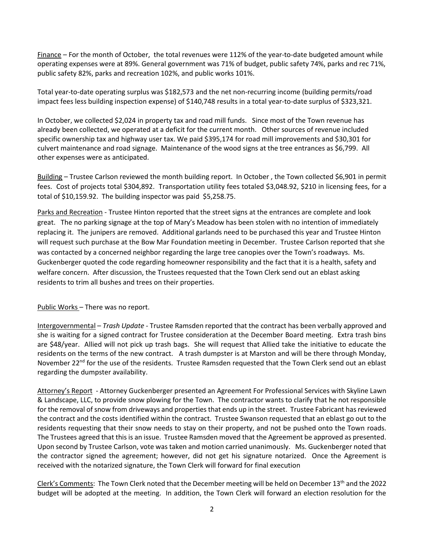Finance – For the month of October, the total revenues were 112% of the year-to-date budgeted amount while operating expenses were at 89%. General government was 71% of budget, public safety 74%, parks and rec 71%, public safety 82%, parks and recreation 102%, and public works 101%.

Total year-to-date operating surplus was \$182,573 and the net non-recurring income (building permits/road impact fees less building inspection expense) of \$140,748 results in a total year-to-date surplus of \$323,321.

In October, we collected \$2,024 in property tax and road mill funds. Since most of the Town revenue has already been collected, we operated at a deficit for the current month. Other sources of revenue included specific ownership tax and highway user tax. We paid \$395,174 for road mill improvements and \$30,301 for culvert maintenance and road signage. Maintenance of the wood signs at the tree entrances as \$6,799. All other expenses were as anticipated.

Building – Trustee Carlson reviewed the month building report. In October , the Town collected \$6,901 in permit fees. Cost of projects total \$304,892. Transportation utility fees totaled \$3,048.92, \$210 in licensing fees, for a total of \$10,159.92. The building inspector was paid \$5,258.75.

Parks and Recreation - Trustee Hinton reported that the street signs at the entrances are complete and look great. The no parking signage at the top of Mary's Meadow has been stolen with no intention of immediately replacing it. The junipers are removed. Additional garlands need to be purchased this year and Trustee Hinton will request such purchase at the Bow Mar Foundation meeting in December. Trustee Carlson reported that she was contacted by a concerned neighbor regarding the large tree canopies over the Town's roadways. Ms. Guckenberger quoted the code regarding homeowner responsibility and the fact that it is a health, safety and welfare concern. After discussion, the Trustees requested that the Town Clerk send out an eblast asking residents to trim all bushes and trees on their properties.

## Public Works – There was no report.

Intergovernmental – *Trash Update* - Trustee Ramsden reported that the contract has been verbally approved and she is waiting for a signed contract for Trustee consideration at the December Board meeting. Extra trash bins are \$48/year. Allied will not pick up trash bags. She will request that Allied take the initiative to educate the residents on the terms of the new contract. A trash dumpster is at Marston and will be there through Monday, November 22<sup>nd</sup> for the use of the residents. Trustee Ramsden requested that the Town Clerk send out an eblast regarding the dumpster availability.

Attorney's Report - Attorney Guckenberger presented an Agreement For Professional Services with Skyline Lawn & Landscape, LLC, to provide snow plowing for the Town. The contractor wants to clarify that he not responsible for the removal of snow from driveways and properties that ends up in the street. Trustee Fabricant has reviewed the contract and the costs identified within the contract. Trustee Swanson requested that an eblast go out to the residents requesting that their snow needs to stay on their property, and not be pushed onto the Town roads. The Trustees agreed that this is an issue. Trustee Ramsden moved that the Agreement be approved as presented. Upon second by Trustee Carlson, vote was taken and motion carried unanimously. Ms. Guckenberger noted that the contractor signed the agreement; however, did not get his signature notarized. Once the Agreement is received with the notarized signature, the Town Clerk will forward for final execution

Clerk's Comments: The Town Clerk noted that the December meeting will be held on December 13th and the 2022 budget will be adopted at the meeting. In addition, the Town Clerk will forward an election resolution for the